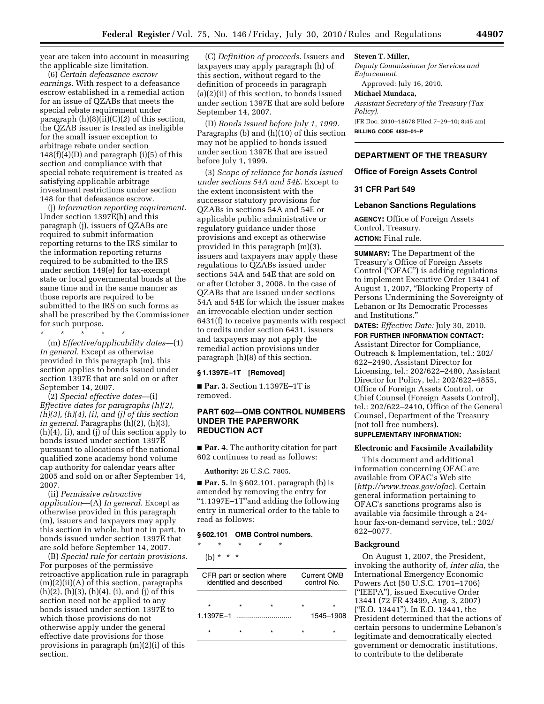year are taken into account in measuring the applicable size limitation.

(6) *Certain defeasance escrow earnings.* With respect to a defeasance escrow established in a remedial action for an issue of QZABs that meets the special rebate requirement under paragraph (h)(8)(ii)(C)(*2*) of this section, the QZAB issuer is treated as ineligible for the small issuer exception to arbitrage rebate under section  $148(f)(4)(D)$  and paragraph (i)(5) of this section and compliance with that special rebate requirement is treated as satisfying applicable arbitrage investment restrictions under section 148 for that defeasance escrow.

(j) *Information reporting requirement.*  Under section 1397E(h) and this paragraph (j), issuers of QZABs are required to submit information reporting returns to the IRS similar to the information reporting returns required to be submitted to the IRS under section 149(e) for tax-exempt state or local governmental bonds at the same time and in the same manner as those reports are required to be submitted to the IRS on such forms as shall be prescribed by the Commissioner for such purpose.

\* \* \* \* \*

(m) *Effective/applicability dates*—(1) *In general.* Except as otherwise provided in this paragraph (m), this section applies to bonds issued under section 1397E that are sold on or after September 14, 2007.

(2) *Special effective dates*—(i) *Effective dates for paragraphs (h)(2), (h)(3), (h)(4), (i), and (j) of this section in general.* Paragraphs (h)(2), (h)(3), (h)(4), (i), and (j) of this section apply to bonds issued under section 1397E pursuant to allocations of the national qualified zone academy bond volume cap authority for calendar years after 2005 and sold on or after September 14, 2007.

(ii) *Permissive retroactive application*—(A) *In general.* Except as otherwise provided in this paragraph (m), issuers and taxpayers may apply this section in whole, but not in part, to bonds issued under section 1397E that are sold before September 14, 2007.

(B) *Special rule for certain provisions.*  For purposes of the permissive retroactive application rule in paragraph (m)(2)(ii)(A) of this section, paragraphs  $(h)(2)$ ,  $(h)(3)$ ,  $(h)(4)$ ,  $(i)$ , and  $(j)$  of this section need not be applied to any bonds issued under section 1397E to which those provisions do not otherwise apply under the general effective date provisions for those provisions in paragraph (m)(2)(i) of this section.

(C) *Definition of proceeds.* Issuers and taxpayers may apply paragraph (h) of this section, without regard to the definition of proceeds in paragraph (a)(2)(ii) of this section, to bonds issued under section 1397E that are sold before September 14, 2007.

(D) *Bonds issued before July 1, 1999.*  Paragraphs (b) and (h)(10) of this section may not be applied to bonds issued under section 1397E that are issued before July 1, 1999.

(3) *Scope of reliance for bonds issued under sections 54A and 54E.* Except to the extent inconsistent with the successor statutory provisions for QZABs in sections 54A and 54E or applicable public administrative or regulatory guidance under those provisions and except as otherwise provided in this paragraph (m)(3), issuers and taxpayers may apply these regulations to QZABs issued under sections 54A and 54E that are sold on or after October 3, 2008. In the case of QZABs that are issued under sections 54A and 54E for which the issuer makes an irrevocable election under section 6431(f) to receive payments with respect to credits under section 6431, issuers and taxpayers may not apply the remedial action provisions under paragraph (h)(8) of this section.

#### **§ 1.1397E–1T [Removed]**

■ **Par. 3.** Section 1.1397E-1T is removed.

## **PART 602—OMB CONTROL NUMBERS UNDER THE PAPERWORK REDUCTION ACT**

■ **Par. 4.** The authority citation for part 602 continues to read as follows:

**Authority:** 26 U.S.C. 7805.

■ **Par. 5.** In § 602.101, paragraph (b) is amended by removing the entry for ''1.1397E–1T''and adding the following entry in numerical order to the table to read as follows:

#### **§ 602.101 OMB Control numbers.**

\* \* \* \* \*

# (b) \* \* \*

| CFR part or section where<br>identified and described |  |         | <b>Current OMB</b><br>control No. |           |
|-------------------------------------------------------|--|---------|-----------------------------------|-----------|
| 1.1397F-1                                             |  | $\star$ | ÷                                 | 1545-1908 |
|                                                       |  |         |                                   |           |

## **Steven T. Miller,**

*Deputy Commissioner for Services and Enforcement.*  Approved: July 16, 2010.

## **Michael Mundaca,**

*Assistant Secretary of the Treasury (Tax Policy).*  [FR Doc. 2010–18678 Filed 7–29–10; 8:45 am] **BILLING CODE 4830–01–P** 

## **DEPARTMENT OF THE TREASURY**

#### **Office of Foreign Assets Control**

## **31 CFR Part 549**

## **Lebanon Sanctions Regulations**

**AGENCY:** Office of Foreign Assets Control, Treasury. **ACTION:** Final rule.

**SUMMARY:** The Department of the Treasury's Office of Foreign Assets Control ("OFAC") is adding regulations to implement Executive Order 13441 of August 1, 2007, ''Blocking Property of Persons Undermining the Sovereignty of Lebanon or Its Democratic Processes and Institutions.''

**DATES:** *Effective Date:* July 30, 2010. **FOR FURTHER INFORMATION CONTACT:** 

Assistant Director for Compliance, Outreach & Implementation, tel.: 202/ 622–2490, Assistant Director for Licensing, tel.: 202/622–2480, Assistant Director for Policy, tel.: 202/622–4855, Office of Foreign Assets Control, or Chief Counsel (Foreign Assets Control), tel.: 202/622–2410, Office of the General Counsel, Department of the Treasury (not toll free numbers).

# **SUPPLEMENTARY INFORMATION:**

#### **Electronic and Facsimile Availability**

This document and additional information concerning OFAC are available from OFAC's Web site (*<http://www.treas.gov/ofac>*). Certain general information pertaining to OFAC's sanctions programs also is available via facsimile through a 24 hour fax-on-demand service, tel.: 202/ 622–0077.

#### **Background**

On August 1, 2007, the President, invoking the authority of, *inter alia,* the International Emergency Economic Powers Act (50 U.S.C. 1701–1706) (''IEEPA''), issued Executive Order 13441 (72 FR 43499, Aug. 3, 2007) (''E.O. 13441''). In E.O. 13441, the President determined that the actions of certain persons to undermine Lebanon's legitimate and democratically elected government or democratic institutions, to contribute to the deliberate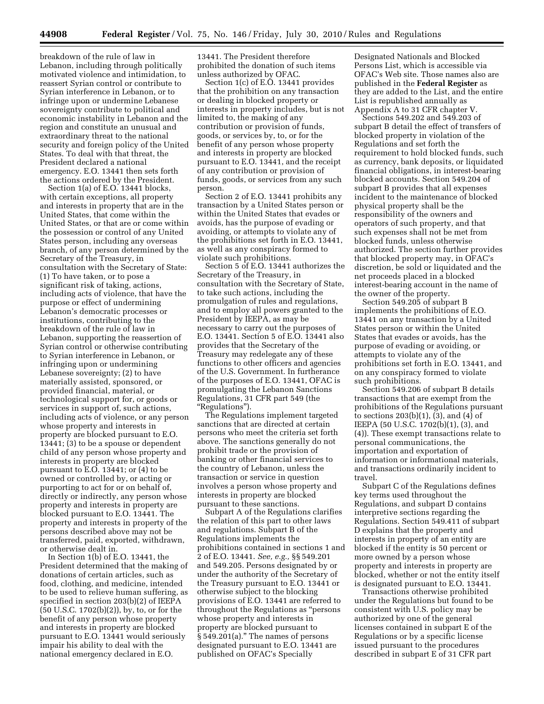breakdown of the rule of law in Lebanon, including through politically motivated violence and intimidation, to reassert Syrian control or contribute to Syrian interference in Lebanon, or to infringe upon or undermine Lebanese sovereignty contribute to political and economic instability in Lebanon and the region and constitute an unusual and extraordinary threat to the national security and foreign policy of the United States. To deal with that threat, the President declared a national emergency. E.O. 13441 then sets forth the actions ordered by the President.

Section 1(a) of E.O. 13441 blocks, with certain exceptions, all property and interests in property that are in the United States, that come within the United States, or that are or come within the possession or control of any United States person, including any overseas branch, of any person determined by the Secretary of the Treasury, in consultation with the Secretary of State: (1) To have taken, or to pose a significant risk of taking, actions, including acts of violence, that have the purpose or effect of undermining Lebanon's democratic processes or institutions, contributing to the breakdown of the rule of law in Lebanon, supporting the reassertion of Syrian control or otherwise contributing to Syrian interference in Lebanon, or infringing upon or undermining Lebanese sovereignty; (2) to have materially assisted, sponsored, or provided financial, material, or technological support for, or goods or services in support of, such actions, including acts of violence, or any person whose property and interests in property are blocked pursuant to E.O. 13441; (3) to be a spouse or dependent child of any person whose property and interests in property are blocked pursuant to E.O. 13441; or (4) to be owned or controlled by, or acting or purporting to act for or on behalf of, directly or indirectly, any person whose property and interests in property are blocked pursuant to E.O. 13441. The property and interests in property of the persons described above may not be transferred, paid, exported, withdrawn, or otherwise dealt in.

In Section 1(b) of E.O. 13441, the President determined that the making of donations of certain articles, such as food, clothing, and medicine, intended to be used to relieve human suffering, as specified in section 203(b)(2) of IEEPA (50 U.S.C. 1702(b)(2)), by, to, or for the benefit of any person whose property and interests in property are blocked pursuant to E.O. 13441 would seriously impair his ability to deal with the national emergency declared in E.O.

13441. The President therefore prohibited the donation of such items unless authorized by OFAC.

Section 1(c) of E.O. 13441 provides that the prohibition on any transaction or dealing in blocked property or interests in property includes, but is not limited to, the making of any contribution or provision of funds, goods, or services by, to, or for the benefit of any person whose property and interests in property are blocked pursuant to E.O. 13441, and the receipt of any contribution or provision of funds, goods, or services from any such person.

Section 2 of E.O. 13441 prohibits any transaction by a United States person or within the United States that evades or avoids, has the purpose of evading or avoiding, or attempts to violate any of the prohibitions set forth in E.O. 13441, as well as any conspiracy formed to violate such prohibitions.

Section 5 of E.O. 13441 authorizes the Secretary of the Treasury, in consultation with the Secretary of State, to take such actions, including the promulgation of rules and regulations, and to employ all powers granted to the President by IEEPA, as may be necessary to carry out the purposes of E.O. 13441. Section 5 of E.O. 13441 also provides that the Secretary of the Treasury may redelegate any of these functions to other officers and agencies of the U.S. Government. In furtherance of the purposes of E.O. 13441, OFAC is promulgating the Lebanon Sanctions Regulations, 31 CFR part 549 (the ''Regulations'').

The Regulations implement targeted sanctions that are directed at certain persons who meet the criteria set forth above. The sanctions generally do not prohibit trade or the provision of banking or other financial services to the country of Lebanon, unless the transaction or service in question involves a person whose property and interests in property are blocked pursuant to these sanctions.

Subpart A of the Regulations clarifies the relation of this part to other laws and regulations. Subpart B of the Regulations implements the prohibitions contained in sections 1 and 2 of E.O. 13441. *See, e.g.,* §§ 549.201 and 549.205. Persons designated by or under the authority of the Secretary of the Treasury pursuant to E.O. 13441 or otherwise subject to the blocking provisions of E.O. 13441 are referred to throughout the Regulations as ''persons whose property and interests in property are blocked pursuant to § 549.201(a)." The names of persons designated pursuant to E.O. 13441 are published on OFAC's Specially

Designated Nationals and Blocked Persons List, which is accessible via OFAC's Web site. Those names also are published in the **Federal Register** as they are added to the List, and the entire List is republished annually as Appendix A to 31 CFR chapter V.

Sections 549.202 and 549.203 of subpart B detail the effect of transfers of blocked property in violation of the Regulations and set forth the requirement to hold blocked funds, such as currency, bank deposits, or liquidated financial obligations, in interest-bearing blocked accounts. Section 549.204 of subpart B provides that all expenses incident to the maintenance of blocked physical property shall be the responsibility of the owners and operators of such property, and that such expenses shall not be met from blocked funds, unless otherwise authorized. The section further provides that blocked property may, in OFAC's discretion, be sold or liquidated and the net proceeds placed in a blocked interest-bearing account in the name of the owner of the property.

Section 549.205 of subpart B implements the prohibitions of E.O. 13441 on any transaction by a United States person or within the United States that evades or avoids, has the purpose of evading or avoiding, or attempts to violate any of the prohibitions set forth in E.O. 13441, and on any conspiracy formed to violate such prohibitions.

Section 549.206 of subpart B details transactions that are exempt from the prohibitions of the Regulations pursuant to sections 203(b)(1), (3), and (4) of IEEPA (50 U.S.C. 1702(b)(1), (3), and (4)). These exempt transactions relate to personal communications, the importation and exportation of information or informational materials, and transactions ordinarily incident to travel.

Subpart C of the Regulations defines key terms used throughout the Regulations, and subpart D contains interpretive sections regarding the Regulations. Section 549.411 of subpart D explains that the property and interests in property of an entity are blocked if the entity is 50 percent or more owned by a person whose property and interests in property are blocked, whether or not the entity itself is designated pursuant to E.O. 13441.

Transactions otherwise prohibited under the Regulations but found to be consistent with U.S. policy may be authorized by one of the general licenses contained in subpart E of the Regulations or by a specific license issued pursuant to the procedures described in subpart E of 31 CFR part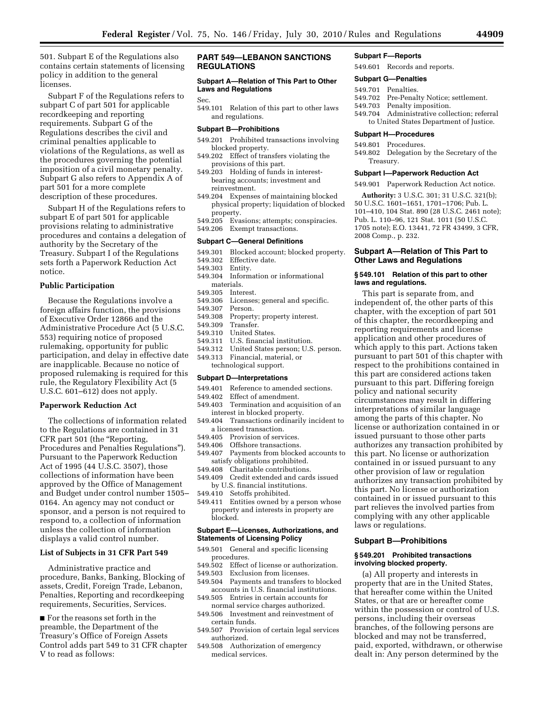501. Subpart E of the Regulations also contains certain statements of licensing policy in addition to the general licenses.

Subpart F of the Regulations refers to subpart C of part 501 for applicable recordkeeping and reporting requirements. Subpart G of the Regulations describes the civil and criminal penalties applicable to violations of the Regulations, as well as the procedures governing the potential imposition of a civil monetary penalty. Subpart G also refers to Appendix A of part 501 for a more complete description of these procedures.

Subpart H of the Regulations refers to subpart E of part 501 for applicable provisions relating to administrative procedures and contains a delegation of authority by the Secretary of the Treasury. Subpart I of the Regulations sets forth a Paperwork Reduction Act notice.

#### **Public Participation**

Because the Regulations involve a foreign affairs function, the provisions of Executive Order 12866 and the Administrative Procedure Act (5 U.S.C. 553) requiring notice of proposed rulemaking, opportunity for public participation, and delay in effective date are inapplicable. Because no notice of proposed rulemaking is required for this rule, the Regulatory Flexibility Act (5 U.S.C. 601–612) does not apply.

#### **Paperwork Reduction Act**

The collections of information related to the Regulations are contained in 31 CFR part 501 (the ''Reporting, Procedures and Penalties Regulations''). Pursuant to the Paperwork Reduction Act of 1995 (44 U.S.C. 3507), those collections of information have been approved by the Office of Management and Budget under control number 1505– 0164. An agency may not conduct or sponsor, and a person is not required to respond to, a collection of information unless the collection of information displays a valid control number.

#### **List of Subjects in 31 CFR Part 549**

Administrative practice and procedure, Banks, Banking, Blocking of assets, Credit, Foreign Trade, Lebanon, Penalties, Reporting and recordkeeping requirements, Securities, Services.

■ For the reasons set forth in the preamble, the Department of the Treasury's Office of Foreign Assets Control adds part 549 to 31 CFR chapter V to read as follows:

## **PART 549—LEBANON SANCTIONS REGULATIONS**

## **Subpart A—Relation of This Part to Other Laws and Regulations**

#### Sec.

549.101 Relation of this part to other laws and regulations.

#### **Subpart B—Prohibitions**

- 549.201 Prohibited transactions involving blocked property.
- 549.202 Effect of transfers violating the provisions of this part.
- 549.203 Holding of funds in interestbearing accounts; investment and reinvestment.
- 549.204 Expenses of maintaining blocked physical property; liquidation of blocked property.<br>549.205 Eva
- Evasions; attempts; conspiracies.
- 549.206 Exempt transactions.

#### **Subpart C—General Definitions**

- 549.301 Blocked account; blocked property.
- 549.302 Effective date.
- 549.303 Entity.
- 549.304 Information or informational materials.
- 549.305 Interest.
- 549.306 Licenses; general and specific.
- 549.307 Person.
- Property; property interest.
- 549.309 Transfer.
- 549.310 United States.
- 549.311 U.S. financial institution.
- 549.312 United States person; U.S. person.
- 549.313 Financial, material, or technological support.

#### **Subpart D—Interpretations**

- 549.401 Reference to amended sections.
- 549.402 Effect of amendment.
- 549.403 Termination and acquisition of an interest in blocked property.
- 549.404 Transactions ordinarily incident to a licensed transaction.
- 549.405 Provision of services.
- 549.406 Offshore transactions.
- 549.407 Payments from blocked accounts to satisfy obligations prohibited.
- 549.408 Charitable contributions.
- 549.409 Credit extended and cards issued by U.S. financial institutions.
- 549.410 Setoffs prohibited.
- 549.411 Entities owned by a person whose property and interests in property are blocked.

#### **Subpart E—Licenses, Authorizations, and Statements of Licensing Policy**

- 549.501 General and specific licensing procedures.
- 549.502 Effect of license or authorization.
- 549.503 Exclusion from licenses.
- 549.504 Payments and transfers to blocked
- accounts in U.S. financial institutions. 549.505 Entries in certain accounts for
- normal service charges authorized. 549.506 Investment and reinvestment of
- certain funds. 549.507 Provision of certain legal services
- authorized.
- 549.508 Authorization of emergency medical services.

#### **Subpart F—Reports**

549.601 Records and reports.

#### **Subpart G—Penalties**

- 549.701 Penalties.<br>549.702 Pre-Penal
- Pre-Penalty Notice; settlement.
- 549.703 Penalty imposition.
- 549.704 Administrative collection; referral to United States Department of Justice.

#### **Subpart H—Procedures**

549.801 Procedures.

549.802 Delegation by the Secretary of the Treasury.

#### **Subpart I—Paperwork Reduction Act**

549.901 Paperwork Reduction Act notice.

**Authority:** 3 U.S.C. 301; 31 U.S.C. 321(b); 50 U.S.C. 1601–1651, 1701–1706; Pub. L. 101–410, 104 Stat. 890 (28 U.S.C. 2461 note); Pub. L. 110–96, 121 Stat. 1011 (50 U.S.C. 1705 note); E.O. 13441, 72 FR 43499, 3 CFR, 2008 Comp., p. 232.

## **Subpart A—Relation of This Part to Other Laws and Regulations**

#### **§ 549.101 Relation of this part to other laws and regulations.**

This part is separate from, and independent of, the other parts of this chapter, with the exception of part 501 of this chapter, the recordkeeping and reporting requirements and license application and other procedures of which apply to this part. Actions taken pursuant to part 501 of this chapter with respect to the prohibitions contained in this part are considered actions taken pursuant to this part. Differing foreign policy and national security circumstances may result in differing interpretations of similar language among the parts of this chapter. No license or authorization contained in or issued pursuant to those other parts authorizes any transaction prohibited by this part. No license or authorization contained in or issued pursuant to any other provision of law or regulation authorizes any transaction prohibited by this part. No license or authorization contained in or issued pursuant to this part relieves the involved parties from complying with any other applicable laws or regulations.

## **Subpart B—Prohibitions**

## **§ 549.201 Prohibited transactions involving blocked property.**

(a) All property and interests in property that are in the United States, that hereafter come within the United States, or that are or hereafter come within the possession or control of U.S. persons, including their overseas branches, of the following persons are blocked and may not be transferred, paid, exported, withdrawn, or otherwise dealt in: Any person determined by the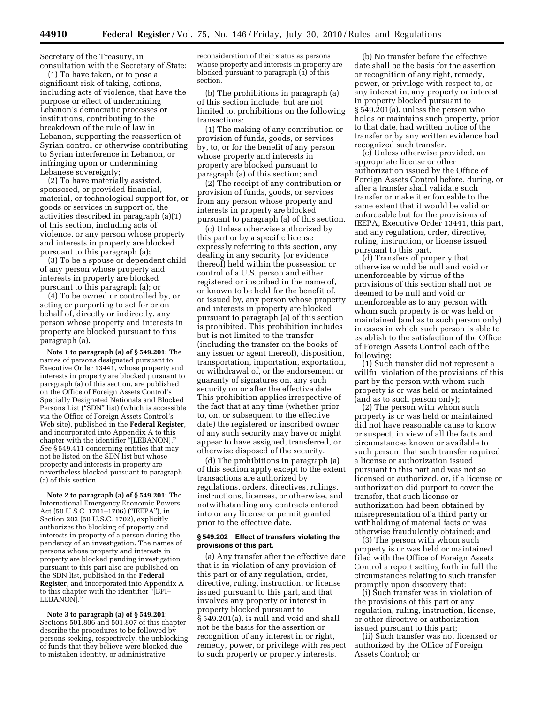Secretary of the Treasury, in consultation with the Secretary of State:

(1) To have taken, or to pose a significant risk of taking, actions, including acts of violence, that have the purpose or effect of undermining Lebanon's democratic processes or institutions, contributing to the breakdown of the rule of law in Lebanon, supporting the reassertion of Syrian control or otherwise contributing to Syrian interference in Lebanon, or infringing upon or undermining Lebanese sovereignty;

(2) To have materially assisted, sponsored, or provided financial, material, or technological support for, or goods or services in support of, the activities described in paragraph (a)(1) of this section, including acts of violence, or any person whose property and interests in property are blocked pursuant to this paragraph (a);

(3) To be a spouse or dependent child of any person whose property and interests in property are blocked pursuant to this paragraph (a); or

(4) To be owned or controlled by, or acting or purporting to act for or on behalf of, directly or indirectly, any person whose property and interests in property are blocked pursuant to this paragraph (a).

**Note 1 to paragraph (a) of § 549.201:** The names of persons designated pursuant to Executive Order 13441, whose property and interests in property are blocked pursuant to paragraph (a) of this section, are published on the Office of Foreign Assets Control's Specially Designated Nationals and Blocked Persons List (''SDN'' list) (which is accessible via the Office of Foreign Assets Control's Web site), published in the **Federal Register**, and incorporated into Appendix A to this chapter with the identifier ''[LEBANON].'' *See* § 549.411 concerning entities that may not be listed on the SDN list but whose property and interests in property are nevertheless blocked pursuant to paragraph (a) of this section.

**Note 2 to paragraph (a) of § 549.201:** The International Emergency Economic Powers Act (50 U.S.C. 1701–1706) (''IEEPA''), in Section 203 (50 U.S.C. 1702), explicitly authorizes the blocking of property and interests in property of a person during the pendency of an investigation. The names of persons whose property and interests in property are blocked pending investigation pursuant to this part also are published on the SDN list, published in the **Federal Register**, and incorporated into Appendix A to this chapter with the identifier ''[BPI– LEBANON].''

**Note 3 to paragraph (a) of § 549.201:**  Sections 501.806 and 501.807 of this chapter describe the procedures to be followed by persons seeking, respectively, the unblocking of funds that they believe were blocked due to mistaken identity, or administrative

reconsideration of their status as persons whose property and interests in property are blocked pursuant to paragraph (a) of this section.

(b) The prohibitions in paragraph (a) of this section include, but are not limited to, prohibitions on the following transactions:

(1) The making of any contribution or provision of funds, goods, or services by, to, or for the benefit of any person whose property and interests in property are blocked pursuant to paragraph (a) of this section; and

(2) The receipt of any contribution or provision of funds, goods, or services from any person whose property and interests in property are blocked pursuant to paragraph (a) of this section.

(c) Unless otherwise authorized by this part or by a specific license expressly referring to this section, any dealing in any security (or evidence thereof) held within the possession or control of a U.S. person and either registered or inscribed in the name of, or known to be held for the benefit of, or issued by, any person whose property and interests in property are blocked pursuant to paragraph (a) of this section is prohibited. This prohibition includes but is not limited to the transfer (including the transfer on the books of any issuer or agent thereof), disposition, transportation, importation, exportation, or withdrawal of, or the endorsement or guaranty of signatures on, any such security on or after the effective date. This prohibition applies irrespective of the fact that at any time (whether prior to, on, or subsequent to the effective date) the registered or inscribed owner of any such security may have or might appear to have assigned, transferred, or otherwise disposed of the security.

(d) The prohibitions in paragraph (a) of this section apply except to the extent transactions are authorized by regulations, orders, directives, rulings, instructions, licenses, or otherwise, and notwithstanding any contracts entered into or any license or permit granted prior to the effective date.

#### **§ 549.202 Effect of transfers violating the provisions of this part.**

(a) Any transfer after the effective date that is in violation of any provision of this part or of any regulation, order, directive, ruling, instruction, or license issued pursuant to this part, and that involves any property or interest in property blocked pursuant to § 549.201(a), is null and void and shall not be the basis for the assertion or recognition of any interest in or right, remedy, power, or privilege with respect to such property or property interests.

(b) No transfer before the effective date shall be the basis for the assertion or recognition of any right, remedy, power, or privilege with respect to, or any interest in, any property or interest in property blocked pursuant to § 549.201(a), unless the person who holds or maintains such property, prior to that date, had written notice of the transfer or by any written evidence had recognized such transfer.

(c) Unless otherwise provided, an appropriate license or other authorization issued by the Office of Foreign Assets Control before, during, or after a transfer shall validate such transfer or make it enforceable to the same extent that it would be valid or enforceable but for the provisions of IEEPA, Executive Order 13441, this part, and any regulation, order, directive, ruling, instruction, or license issued pursuant to this part.

(d) Transfers of property that otherwise would be null and void or unenforceable by virtue of the provisions of this section shall not be deemed to be null and void or unenforceable as to any person with whom such property is or was held or maintained (and as to such person only) in cases in which such person is able to establish to the satisfaction of the Office of Foreign Assets Control each of the following:

(1) Such transfer did not represent a willful violation of the provisions of this part by the person with whom such property is or was held or maintained (and as to such person only);

(2) The person with whom such property is or was held or maintained did not have reasonable cause to know or suspect, in view of all the facts and circumstances known or available to such person, that such transfer required a license or authorization issued pursuant to this part and was not so licensed or authorized, or, if a license or authorization did purport to cover the transfer, that such license or authorization had been obtained by misrepresentation of a third party or withholding of material facts or was otherwise fraudulently obtained; and

(3) The person with whom such property is or was held or maintained filed with the Office of Foreign Assets Control a report setting forth in full the circumstances relating to such transfer promptly upon discovery that:

(i) Such transfer was in violation of the provisions of this part or any regulation, ruling, instruction, license, or other directive or authorization issued pursuant to this part;

(ii) Such transfer was not licensed or authorized by the Office of Foreign Assets Control; or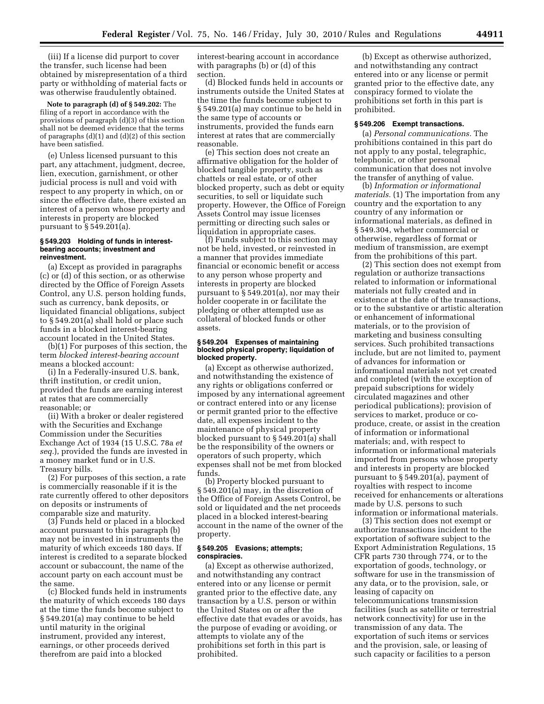(iii) If a license did purport to cover the transfer, such license had been obtained by misrepresentation of a third party or withholding of material facts or was otherwise fraudulently obtained.

**Note to paragraph (d) of § 549.202:** The filing of a report in accordance with the provisions of paragraph (d)(3) of this section shall not be deemed evidence that the terms of paragraphs (d)(1) and (d)(2) of this section have been satisfied.

(e) Unless licensed pursuant to this part, any attachment, judgment, decree, lien, execution, garnishment, or other judicial process is null and void with respect to any property in which, on or since the effective date, there existed an interest of a person whose property and interests in property are blocked pursuant to § 549.201(a).

#### **§ 549.203 Holding of funds in interestbearing accounts; investment and reinvestment.**

(a) Except as provided in paragraphs (c) or (d) of this section, or as otherwise directed by the Office of Foreign Assets Control, any U.S. person holding funds, such as currency, bank deposits, or liquidated financial obligations, subject to § 549.201(a) shall hold or place such funds in a blocked interest-bearing account located in the United States.

(b)(1) For purposes of this section, the term *blocked interest-bearing account*  means a blocked account:

(i) In a Federally-insured U.S. bank, thrift institution, or credit union, provided the funds are earning interest at rates that are commercially reasonable; or

(ii) With a broker or dealer registered with the Securities and Exchange Commission under the Securities Exchange Act of 1934 (15 U.S.C. 78a *et seq.*), provided the funds are invested in a money market fund or in U.S. Treasury bills.

(2) For purposes of this section, a rate is commercially reasonable if it is the rate currently offered to other depositors on deposits or instruments of comparable size and maturity.

(3) Funds held or placed in a blocked account pursuant to this paragraph (b) may not be invested in instruments the maturity of which exceeds 180 days. If interest is credited to a separate blocked account or subaccount, the name of the account party on each account must be the same.

(c) Blocked funds held in instruments the maturity of which exceeds 180 days at the time the funds become subject to § 549.201(a) may continue to be held until maturity in the original instrument, provided any interest, earnings, or other proceeds derived therefrom are paid into a blocked

interest-bearing account in accordance with paragraphs (b) or (d) of this section.

(d) Blocked funds held in accounts or instruments outside the United States at the time the funds become subject to § 549.201(a) may continue to be held in the same type of accounts or instruments, provided the funds earn interest at rates that are commercially reasonable.

(e) This section does not create an affirmative obligation for the holder of blocked tangible property, such as chattels or real estate, or of other blocked property, such as debt or equity securities, to sell or liquidate such property. However, the Office of Foreign Assets Control may issue licenses permitting or directing such sales or liquidation in appropriate cases.

(f) Funds subject to this section may not be held, invested, or reinvested in a manner that provides immediate financial or economic benefit or access to any person whose property and interests in property are blocked pursuant to § 549.201(a), nor may their holder cooperate in or facilitate the pledging or other attempted use as collateral of blocked funds or other assets.

## **§ 549.204 Expenses of maintaining blocked physical property; liquidation of blocked property.**

(a) Except as otherwise authorized, and notwithstanding the existence of any rights or obligations conferred or imposed by any international agreement or contract entered into or any license or permit granted prior to the effective date, all expenses incident to the maintenance of physical property blocked pursuant to § 549.201(a) shall be the responsibility of the owners or operators of such property, which expenses shall not be met from blocked funds.

(b) Property blocked pursuant to § 549.201(a) may, in the discretion of the Office of Foreign Assets Control, be sold or liquidated and the net proceeds placed in a blocked interest-bearing account in the name of the owner of the property.

#### **§ 549.205 Evasions; attempts; conspiracies.**

(a) Except as otherwise authorized, and notwithstanding any contract entered into or any license or permit granted prior to the effective date, any transaction by a U.S. person or within the United States on or after the effective date that evades or avoids, has the purpose of evading or avoiding, or attempts to violate any of the prohibitions set forth in this part is prohibited.

(b) Except as otherwise authorized, and notwithstanding any contract entered into or any license or permit granted prior to the effective date, any conspiracy formed to violate the prohibitions set forth in this part is prohibited.

#### **§ 549.206 Exempt transactions.**

(a) *Personal communications.* The prohibitions contained in this part do not apply to any postal, telegraphic, telephonic, or other personal communication that does not involve the transfer of anything of value.

(b) *Information or informational materials.* (1) The importation from any country and the exportation to any country of any information or informational materials, as defined in § 549.304, whether commercial or otherwise, regardless of format or medium of transmission, are exempt from the prohibitions of this part.

(2) This section does not exempt from regulation or authorize transactions related to information or informational materials not fully created and in existence at the date of the transactions, or to the substantive or artistic alteration or enhancement of informational materials, or to the provision of marketing and business consulting services. Such prohibited transactions include, but are not limited to, payment of advances for information or informational materials not yet created and completed (with the exception of prepaid subscriptions for widely circulated magazines and other periodical publications); provision of services to market, produce or coproduce, create, or assist in the creation of information or informational materials; and, with respect to information or informational materials imported from persons whose property and interests in property are blocked pursuant to § 549.201(a), payment of royalties with respect to income received for enhancements or alterations made by U.S. persons to such information or informational materials.

(3) This section does not exempt or authorize transactions incident to the exportation of software subject to the Export Administration Regulations, 15 CFR parts 730 through 774, or to the exportation of goods, technology, or software for use in the transmission of any data, or to the provision, sale, or leasing of capacity on telecommunications transmission facilities (such as satellite or terrestrial network connectivity) for use in the transmission of any data. The exportation of such items or services and the provision, sale, or leasing of such capacity or facilities to a person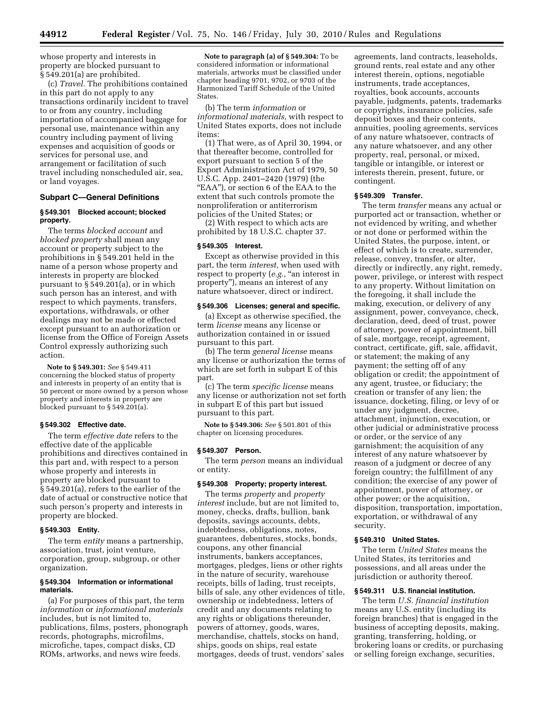whose property and interests in property are blocked pursuant to § 549.201(a) are prohibited.

(c) *Travel.* The prohibitions contained in this part do not apply to any transactions ordinarily incident to travel to or from any country, including importation of accompanied baggage for personal use, maintenance within any country including payment of living expenses and acquisition of goods or services for personal use, and arrangement or facilitation of such travel including nonscheduled air, sea, or land voyages.

## **Subpart C—General Definitions**

#### **§ 549.301 Blocked account; blocked property.**

The terms *blocked account* and *blocked property* shall mean any account or property subject to the prohibitions in § 549.201 held in the name of a person whose property and interests in property are blocked pursuant to § 549.201(a), or in which such person has an interest, and with respect to which payments, transfers, exportations, withdrawals, or other dealings may not be made or effected except pursuant to an authorization or license from the Office of Foreign Assets Control expressly authorizing such action.

**Note to § 549.301:** *See* § 549.411 concerning the blocked status of property and interests in property of an entity that is 50 percent or more owned by a person whose property and interests in property are blocked pursuant to § 549.201(a).

#### **§ 549.302 Effective date.**

The term *effective date* refers to the effective date of the applicable prohibitions and directives contained in this part and, with respect to a person whose property and interests in property are blocked pursuant to § 549.201(a), refers to the earlier of the date of actual or constructive notice that such person's property and interests in property are blocked.

#### **§ 549.303 Entity.**

The term *entity* means a partnership, association, trust, joint venture, corporation, group, subgroup, or other organization.

## **§ 549.304 Information or informational materials.**

(a) For purposes of this part, the term *information* or *informational materials*  includes, but is not limited to, publications, films, posters, phonograph records, photographs, microfilms, microfiche, tapes, compact disks, CD ROMs, artworks, and news wire feeds.

**Note to paragraph (a) of § 549.304:** To be considered information or informational materials, artworks must be classified under chapter heading 9701, 9702, or 9703 of the Harmonized Tariff Schedule of the United **States**.

(b) The term *information* or *informational materials,* with respect to United States exports, does not include items:

(1) That were, as of April 30, 1994, or that thereafter become, controlled for export pursuant to section 5 of the Export Administration Act of 1979, 50 U.S.C. App. 2401–2420 (1979) (the "EAA"), or section 6 of the EAA to the extent that such controls promote the nonproliferation or antiterrorism policies of the United States; or

(2) With respect to which acts are prohibited by 18 U.S.C. chapter 37.

#### **§ 549.305 Interest.**

Except as otherwise provided in this part, the term *interest,* when used with respect to property (e.g., "an interest in property''), means an interest of any nature whatsoever, direct or indirect.

## **§ 549.306 Licenses; general and specific.**

(a) Except as otherwise specified, the term *license* means any license or authorization contained in or issued pursuant to this part.

(b) The term *general license* means any license or authorization the terms of which are set forth in subpart E of this part.

(c) The term *specific license* means any license or authorization not set forth in subpart E of this part but issued pursuant to this part.

**Note to § 549.306:** *See* § 501.801 of this chapter on licensing procedures.

## **§ 549.307 Person.**

The term *person* means an individual or entity.

## **§ 549.308 Property; property interest.**

The terms *property* and *property interest* include, but are not limited to, money, checks, drafts, bullion, bank deposits, savings accounts, debts, indebtedness, obligations, notes, guarantees, debentures, stocks, bonds, coupons, any other financial instruments, bankers acceptances, mortgages, pledges, liens or other rights in the nature of security, warehouse receipts, bills of lading, trust receipts, bills of sale, any other evidences of title, ownership or indebtedness, letters of credit and any documents relating to any rights or obligations thereunder, powers of attorney, goods, wares, merchandise, chattels, stocks on hand, ships, goods on ships, real estate mortgages, deeds of trust, vendors' sales

agreements, land contracts, leaseholds, ground rents, real estate and any other interest therein, options, negotiable instruments, trade acceptances, royalties, book accounts, accounts payable, judgments, patents, trademarks or copyrights, insurance policies, safe deposit boxes and their contents, annuities, pooling agreements, services of any nature whatsoever, contracts of any nature whatsoever, and any other property, real, personal, or mixed, tangible or intangible, or interest or interests therein, present, future, or contingent.

## **§ 549.309 Transfer.**

The term *transfer* means any actual or purported act or transaction, whether or not evidenced by writing, and whether or not done or performed within the United States, the purpose, intent, or effect of which is to create, surrender, release, convey, transfer, or alter, directly or indirectly, any right, remedy, power, privilege, or interest with respect to any property. Without limitation on the foregoing, it shall include the making, execution, or delivery of any assignment, power, conveyance, check, declaration, deed, deed of trust, power of attorney, power of appointment, bill of sale, mortgage, receipt, agreement, contract, certificate, gift, sale, affidavit, or statement; the making of any payment; the setting off of any obligation or credit; the appointment of any agent, trustee, or fiduciary; the creation or transfer of any lien; the issuance, docketing, filing, or levy of or under any judgment, decree, attachment, injunction, execution, or other judicial or administrative process or order, or the service of any garnishment; the acquisition of any interest of any nature whatsoever by reason of a judgment or decree of any foreign country; the fulfillment of any condition; the exercise of any power of appointment, power of attorney, or other power; or the acquisition, disposition, transportation, importation, exportation, or withdrawal of any security.

## **§ 549.310 United States.**

The term *United States* means the United States, its territories and possessions, and all areas under the jurisdiction or authority thereof.

## **§ 549.311 U.S. financial institution.**

The term *U.S. financial institution*  means any U.S. entity (including its foreign branches) that is engaged in the business of accepting deposits, making, granting, transferring, holding, or brokering loans or credits, or purchasing or selling foreign exchange, securities,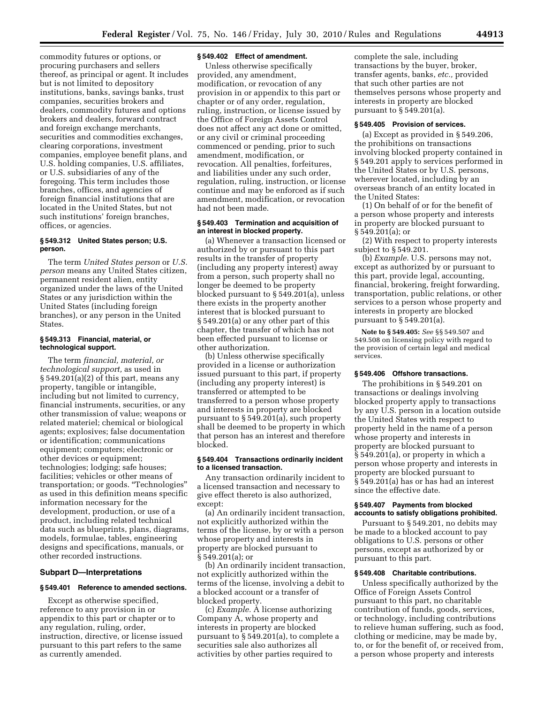commodity futures or options, or procuring purchasers and sellers thereof, as principal or agent. It includes but is not limited to depository institutions, banks, savings banks, trust companies, securities brokers and dealers, commodity futures and options brokers and dealers, forward contract and foreign exchange merchants, securities and commodities exchanges, clearing corporations, investment companies, employee benefit plans, and U.S. holding companies, U.S. affiliates, or U.S. subsidiaries of any of the foregoing. This term includes those branches, offices, and agencies of foreign financial institutions that are located in the United States, but not such institutions' foreign branches, offices, or agencies.

### **§ 549.312 United States person; U.S. person.**

The term *United States person* or *U.S. person* means any United States citizen, permanent resident alien, entity organized under the laws of the United States or any jurisdiction within the United States (including foreign branches), or any person in the United States.

#### **§ 549.313 Financial, material, or technological support.**

The term *financial, material, or technological support,* as used in § 549.201(a)(2) of this part, means any property, tangible or intangible, including but not limited to currency, financial instruments, securities, or any other transmission of value; weapons or related materiel; chemical or biological agents; explosives; false documentation or identification; communications equipment; computers; electronic or other devices or equipment; technologies; lodging; safe houses; facilities; vehicles or other means of transportation; or goods. ''Technologies'' as used in this definition means specific information necessary for the development, production, or use of a product, including related technical data such as blueprints, plans, diagrams, models, formulae, tables, engineering designs and specifications, manuals, or other recorded instructions.

## **Subpart D—Interpretations**

#### **§ 549.401 Reference to amended sections.**

Except as otherwise specified, reference to any provision in or appendix to this part or chapter or to any regulation, ruling, order, instruction, directive, or license issued pursuant to this part refers to the same as currently amended.

## **§ 549.402 Effect of amendment.**

Unless otherwise specifically provided, any amendment, modification, or revocation of any provision in or appendix to this part or chapter or of any order, regulation, ruling, instruction, or license issued by the Office of Foreign Assets Control does not affect any act done or omitted, or any civil or criminal proceeding commenced or pending, prior to such amendment, modification, or revocation. All penalties, forfeitures, and liabilities under any such order, regulation, ruling, instruction, or license continue and may be enforced as if such amendment, modification, or revocation had not been made.

## **§ 549.403 Termination and acquisition of an interest in blocked property.**

(a) Whenever a transaction licensed or authorized by or pursuant to this part results in the transfer of property (including any property interest) away from a person, such property shall no longer be deemed to be property blocked pursuant to § 549.201(a), unless there exists in the property another interest that is blocked pursuant to § 549.201(a) or any other part of this chapter, the transfer of which has not been effected pursuant to license or other authorization.

(b) Unless otherwise specifically provided in a license or authorization issued pursuant to this part, if property (including any property interest) is transferred or attempted to be transferred to a person whose property and interests in property are blocked pursuant to § 549.201(a), such property shall be deemed to be property in which that person has an interest and therefore blocked.

#### **§ 549.404 Transactions ordinarily incident to a licensed transaction.**

Any transaction ordinarily incident to a licensed transaction and necessary to give effect thereto is also authorized, except:

(a) An ordinarily incident transaction, not explicitly authorized within the terms of the license, by or with a person whose property and interests in property are blocked pursuant to § 549.201(a); or

(b) An ordinarily incident transaction, not explicitly authorized within the terms of the license, involving a debit to a blocked account or a transfer of blocked property.

(c) *Example.* A license authorizing Company A, whose property and interests in property are blocked pursuant to § 549.201(a), to complete a securities sale also authorizes all activities by other parties required to

complete the sale, including transactions by the buyer, broker, transfer agents, banks, *etc.,* provided that such other parties are not themselves persons whose property and interests in property are blocked pursuant to § 549.201(a).

## **§ 549.405 Provision of services.**

(a) Except as provided in § 549.206, the prohibitions on transactions involving blocked property contained in § 549.201 apply to services performed in the United States or by U.S. persons, wherever located, including by an overseas branch of an entity located in the United States:

(1) On behalf of or for the benefit of a person whose property and interests in property are blocked pursuant to § 549.201(a); or

(2) With respect to property interests subject to § 549.201.

(b) *Example.* U.S. persons may not, except as authorized by or pursuant to this part, provide legal, accounting, financial, brokering, freight forwarding, transportation, public relations, or other services to a person whose property and interests in property are blocked pursuant to § 549.201(a).

**Note to § 549.405:** *See* §§ 549.507 and 549.508 on licensing policy with regard to the provision of certain legal and medical services.

## **§ 549.406 Offshore transactions.**

The prohibitions in § 549.201 on transactions or dealings involving blocked property apply to transactions by any U.S. person in a location outside the United States with respect to property held in the name of a person whose property and interests in property are blocked pursuant to § 549.201(a), or property in which a person whose property and interests in property are blocked pursuant to § 549.201(a) has or has had an interest since the effective date.

#### **§ 549.407 Payments from blocked accounts to satisfy obligations prohibited.**

Pursuant to § 549.201, no debits may be made to a blocked account to pay obligations to U.S. persons or other persons, except as authorized by or pursuant to this part.

#### **§ 549.408 Charitable contributions.**

Unless specifically authorized by the Office of Foreign Assets Control pursuant to this part, no charitable contribution of funds, goods, services, or technology, including contributions to relieve human suffering, such as food, clothing or medicine, may be made by, to, or for the benefit of, or received from, a person whose property and interests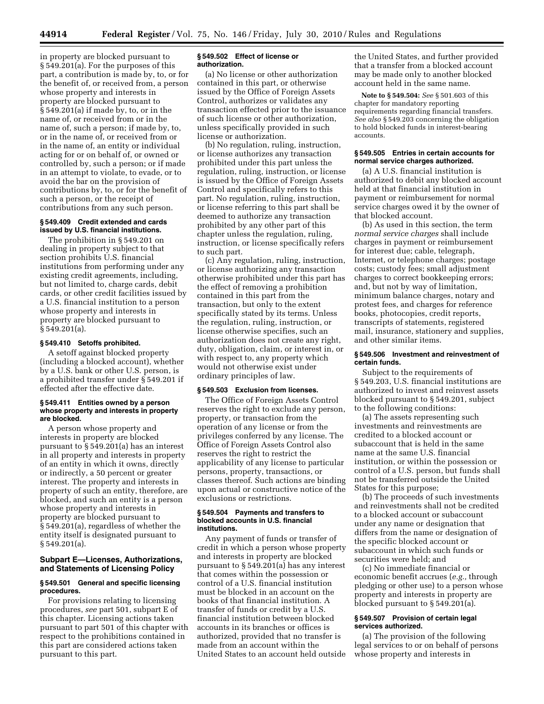in property are blocked pursuant to § 549.201(a). For the purposes of this part, a contribution is made by, to, or for the benefit of, or received from, a person whose property and interests in property are blocked pursuant to § 549.201(a) if made by, to, or in the name of, or received from or in the name of, such a person; if made by, to, or in the name of, or received from or in the name of, an entity or individual acting for or on behalf of, or owned or controlled by, such a person; or if made in an attempt to violate, to evade, or to avoid the bar on the provision of contributions by, to, or for the benefit of such a person, or the receipt of contributions from any such person.

#### **§ 549.409 Credit extended and cards issued by U.S. financial institutions.**

The prohibition in § 549.201 on dealing in property subject to that section prohibits U.S. financial institutions from performing under any existing credit agreements, including, but not limited to, charge cards, debit cards, or other credit facilities issued by a U.S. financial institution to a person whose property and interests in property are blocked pursuant to § 549.201(a).

## **§ 549.410 Setoffs prohibited.**

A setoff against blocked property (including a blocked account), whether by a U.S. bank or other U.S. person, is a prohibited transfer under § 549.201 if effected after the effective date.

#### **§ 549.411 Entities owned by a person whose property and interests in property are blocked.**

A person whose property and interests in property are blocked pursuant to § 549.201(a) has an interest in all property and interests in property of an entity in which it owns, directly or indirectly, a 50 percent or greater interest. The property and interests in property of such an entity, therefore, are blocked, and such an entity is a person whose property and interests in property are blocked pursuant to § 549.201(a), regardless of whether the entity itself is designated pursuant to § 549.201(a).

#### **Subpart E—Licenses, Authorizations, and Statements of Licensing Policy**

## **§ 549.501 General and specific licensing procedures.**

For provisions relating to licensing procedures, *see* part 501, subpart E of this chapter. Licensing actions taken pursuant to part 501 of this chapter with respect to the prohibitions contained in this part are considered actions taken pursuant to this part.

#### **§ 549.502 Effect of license or authorization.**

(a) No license or other authorization contained in this part, or otherwise issued by the Office of Foreign Assets Control, authorizes or validates any transaction effected prior to the issuance of such license or other authorization, unless specifically provided in such license or authorization.

(b) No regulation, ruling, instruction, or license authorizes any transaction prohibited under this part unless the regulation, ruling, instruction, or license is issued by the Office of Foreign Assets Control and specifically refers to this part. No regulation, ruling, instruction, or license referring to this part shall be deemed to authorize any transaction prohibited by any other part of this chapter unless the regulation, ruling, instruction, or license specifically refers to such part.

(c) Any regulation, ruling, instruction, or license authorizing any transaction otherwise prohibited under this part has the effect of removing a prohibition contained in this part from the transaction, but only to the extent specifically stated by its terms. Unless the regulation, ruling, instruction, or license otherwise specifies, such an authorization does not create any right, duty, obligation, claim, or interest in, or with respect to, any property which would not otherwise exist under ordinary principles of law.

## **§ 549.503 Exclusion from licenses.**

The Office of Foreign Assets Control reserves the right to exclude any person, property, or transaction from the operation of any license or from the privileges conferred by any license. The Office of Foreign Assets Control also reserves the right to restrict the applicability of any license to particular persons, property, transactions, or classes thereof. Such actions are binding upon actual or constructive notice of the exclusions or restrictions.

#### **§ 549.504 Payments and transfers to blocked accounts in U.S. financial institutions.**

Any payment of funds or transfer of credit in which a person whose property and interests in property are blocked pursuant to § 549.201(a) has any interest that comes within the possession or control of a U.S. financial institution must be blocked in an account on the books of that financial institution. A transfer of funds or credit by a U.S. financial institution between blocked accounts in its branches or offices is authorized, provided that no transfer is made from an account within the United States to an account held outside

the United States, and further provided that a transfer from a blocked account may be made only to another blocked account held in the same name.

**Note to § 549.504:** *See* § 501.603 of this chapter for mandatory reporting requirements regarding financial transfers. *See also* § 549.203 concerning the obligation to hold blocked funds in interest-bearing accounts.

### **§ 549.505 Entries in certain accounts for normal service charges authorized.**

(a) A U.S. financial institution is authorized to debit any blocked account held at that financial institution in payment or reimbursement for normal service charges owed it by the owner of that blocked account.

(b) As used in this section, the term *normal service charges* shall include charges in payment or reimbursement for interest due; cable, telegraph, Internet, or telephone charges; postage costs; custody fees; small adjustment charges to correct bookkeeping errors; and, but not by way of limitation, minimum balance charges, notary and protest fees, and charges for reference books, photocopies, credit reports, transcripts of statements, registered mail, insurance, stationery and supplies, and other similar items.

#### **§ 549.506 Investment and reinvestment of certain funds.**

Subject to the requirements of § 549.203, U.S. financial institutions are authorized to invest and reinvest assets blocked pursuant to § 549.201, subject to the following conditions:

(a) The assets representing such investments and reinvestments are credited to a blocked account or subaccount that is held in the same name at the same U.S. financial institution, or within the possession or control of a U.S. person, but funds shall not be transferred outside the United States for this purpose;

(b) The proceeds of such investments and reinvestments shall not be credited to a blocked account or subaccount under any name or designation that differs from the name or designation of the specific blocked account or subaccount in which such funds or securities were held; and

(c) No immediate financial or economic benefit accrues (*e.g.,* through pledging or other use) to a person whose property and interests in property are blocked pursuant to § 549.201(a).

## **§ 549.507 Provision of certain legal services authorized.**

(a) The provision of the following legal services to or on behalf of persons whose property and interests in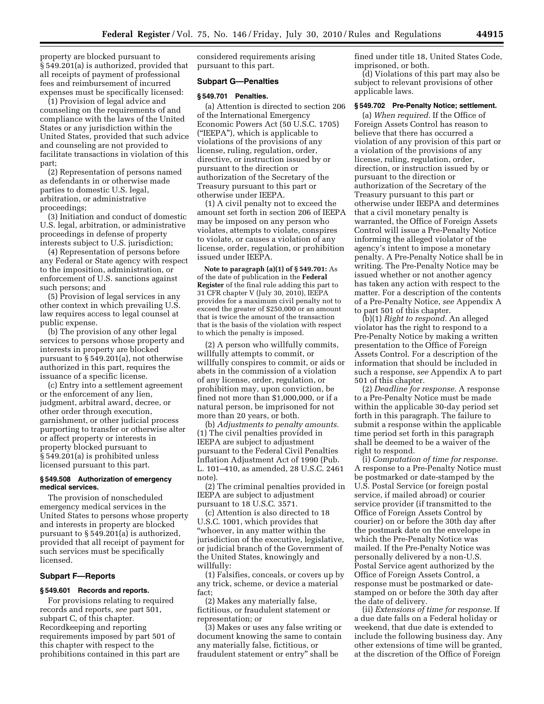property are blocked pursuant to § 549.201(a) is authorized, provided that all receipts of payment of professional fees and reimbursement of incurred expenses must be specifically licensed:

(1) Provision of legal advice and counseling on the requirements of and compliance with the laws of the United States or any jurisdiction within the United States, provided that such advice and counseling are not provided to facilitate transactions in violation of this part;

(2) Representation of persons named as defendants in or otherwise made parties to domestic U.S. legal, arbitration, or administrative proceedings;

(3) Initiation and conduct of domestic U.S. legal, arbitration, or administrative proceedings in defense of property interests subject to U.S. jurisdiction;

(4) Representation of persons before any Federal or State agency with respect to the imposition, administration, or enforcement of U.S. sanctions against such persons; and

(5) Provision of legal services in any other context in which prevailing U.S. law requires access to legal counsel at public expense.

(b) The provision of any other legal services to persons whose property and interests in property are blocked pursuant to § 549.201(a), not otherwise authorized in this part, requires the issuance of a specific license.

(c) Entry into a settlement agreement or the enforcement of any lien, judgment, arbitral award, decree, or other order through execution, garnishment, or other judicial process purporting to transfer or otherwise alter or affect property or interests in property blocked pursuant to § 549.201(a) is prohibited unless licensed pursuant to this part.

#### **§ 549.508 Authorization of emergency medical services.**

The provision of nonscheduled emergency medical services in the United States to persons whose property and interests in property are blocked pursuant to § 549.201(a) is authorized, provided that all receipt of payment for such services must be specifically licensed.

## **Subpart F—Reports**

#### **§ 549.601 Records and reports.**

For provisions relating to required records and reports, *see* part 501, subpart C, of this chapter. Recordkeeping and reporting requirements imposed by part 501 of this chapter with respect to the prohibitions contained in this part are

considered requirements arising pursuant to this part.

## **Subpart G—Penalties**

#### **§ 549.701 Penalties.**

(a) Attention is directed to section 206 of the International Emergency Economic Powers Act (50 U.S.C. 1705) (''IEEPA''), which is applicable to violations of the provisions of any license, ruling, regulation, order, directive, or instruction issued by or pursuant to the direction or authorization of the Secretary of the Treasury pursuant to this part or otherwise under IEEPA.

(1) A civil penalty not to exceed the amount set forth in section 206 of IEEPA may be imposed on any person who violates, attempts to violate, conspires to violate, or causes a violation of any license, order, regulation, or prohibition issued under IEEPA.

**Note to paragraph (a)(1) of § 549.701:** As of the date of publication in the **Federal Register** of the final rule adding this part to 31 CFR chapter V (July 30, 2010), IEEPA provides for a maximum civil penalty not to exceed the greater of \$250,000 or an amount that is twice the amount of the transaction that is the basis of the violation with respect to which the penalty is imposed.

(2) A person who willfully commits, willfully attempts to commit, or willfully conspires to commit, or aids or abets in the commission of a violation of any license, order, regulation, or prohibition may, upon conviction, be fined not more than \$1,000,000, or if a natural person, be imprisoned for not more than 20 years, or both.

(b) *Adjustments to penalty amounts.*  (1) The civil penalties provided in IEEPA are subject to adjustment pursuant to the Federal Civil Penalties Inflation Adjustment Act of 1990 (Pub. L. 101–410, as amended, 28 U.S.C. 2461 note).

(2) The criminal penalties provided in IEEPA are subject to adjustment pursuant to 18 U.S.C. 3571.

(c) Attention is also directed to 18 U.S.C. 1001, which provides that ''whoever, in any matter within the jurisdiction of the executive, legislative, or judicial branch of the Government of the United States, knowingly and willfully:

(1) Falsifies, conceals, or covers up by any trick, scheme, or device a material fact;

(2) Makes any materially false, fictitious, or fraudulent statement or representation; or

(3) Makes or uses any false writing or document knowing the same to contain any materially false, fictitious, or fraudulent statement or entry'' shall be

fined under title 18, United States Code, imprisoned, or both.

(d) Violations of this part may also be subject to relevant provisions of other applicable laws.

#### **§ 549.702 Pre-Penalty Notice; settlement.**

(a) *When required.* If the Office of Foreign Assets Control has reason to believe that there has occurred a violation of any provision of this part or a violation of the provisions of any license, ruling, regulation, order, direction, or instruction issued by or pursuant to the direction or authorization of the Secretary of the Treasury pursuant to this part or otherwise under IEEPA and determines that a civil monetary penalty is warranted, the Office of Foreign Assets Control will issue a Pre-Penalty Notice informing the alleged violator of the agency's intent to impose a monetary penalty. A Pre-Penalty Notice shall be in writing. The Pre-Penalty Notice may be issued whether or not another agency has taken any action with respect to the matter. For a description of the contents of a Pre-Penalty Notice, *see* Appendix A to part 501 of this chapter.

(b)(1) *Right to respond.* An alleged violator has the right to respond to a Pre-Penalty Notice by making a written presentation to the Office of Foreign Assets Control. For a description of the information that should be included in such a response, *see* Appendix A to part 501 of this chapter.

(2) *Deadline for response.* A response to a Pre-Penalty Notice must be made within the applicable 30-day period set forth in this paragraph. The failure to submit a response within the applicable time period set forth in this paragraph shall be deemed to be a waiver of the right to respond.

(i) *Computation of time for response.*  A response to a Pre-Penalty Notice must be postmarked or date-stamped by the U.S. Postal Service (or foreign postal service, if mailed abroad) or courier service provider (if transmitted to the Office of Foreign Assets Control by courier) on or before the 30th day after the postmark date on the envelope in which the Pre-Penalty Notice was mailed. If the Pre-Penalty Notice was personally delivered by a non-U.S. Postal Service agent authorized by the Office of Foreign Assets Control, a response must be postmarked or datestamped on or before the 30th day after the date of delivery.

(ii) *Extensions of time for response.* If a due date falls on a Federal holiday or weekend, that due date is extended to include the following business day. Any other extensions of time will be granted, at the discretion of the Office of Foreign